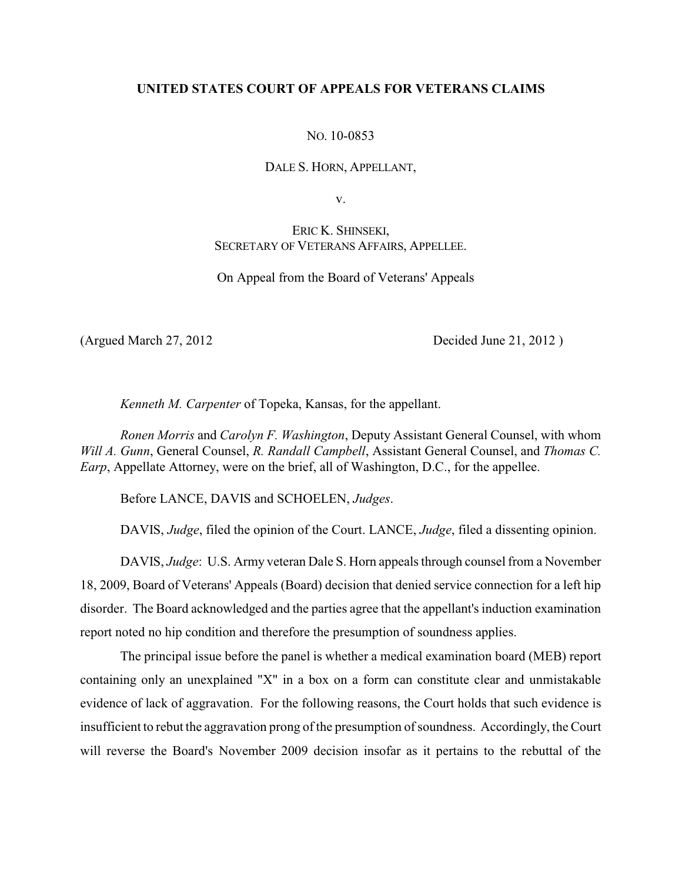## **UNITED STATES COURT OF APPEALS FOR VETERANS CLAIMS**

NO. 10-0853

DALE S. HORN, APPELLANT,

v.

ERIC K. SHINSEKI, SECRETARY OF VETERANS AFFAIRS, APPELLEE.

On Appeal from the Board of Veterans' Appeals

(Argued March 27, 2012 Decided June 21, 2012 )

*Kenneth M. Carpenter* of Topeka, Kansas, for the appellant.

*Ronen Morris* and *Carolyn F. Washington*, Deputy Assistant General Counsel, with whom *Will A. Gunn*, General Counsel, *R. Randall Campbell*, Assistant General Counsel, and *Thomas C. Earp*, Appellate Attorney, were on the brief, all of Washington, D.C., for the appellee.

Before LANCE, DAVIS and SCHOELEN, *Judges*.

DAVIS, *Judge*, filed the opinion of the Court. LANCE, *Judge*, filed a dissenting opinion.

DAVIS, *Judge*: U.S. Army veteran Dale S. Horn appeals through counsel from a November 18, 2009, Board of Veterans' Appeals (Board) decision that denied service connection for a left hip disorder. The Board acknowledged and the parties agree that the appellant's induction examination report noted no hip condition and therefore the presumption of soundness applies.

The principal issue before the panel is whether a medical examination board (MEB) report containing only an unexplained "X" in a box on a form can constitute clear and unmistakable evidence of lack of aggravation. For the following reasons, the Court holds that such evidence is insufficient to rebut the aggravation prong of the presumption of soundness. Accordingly, the Court will reverse the Board's November 2009 decision insofar as it pertains to the rebuttal of the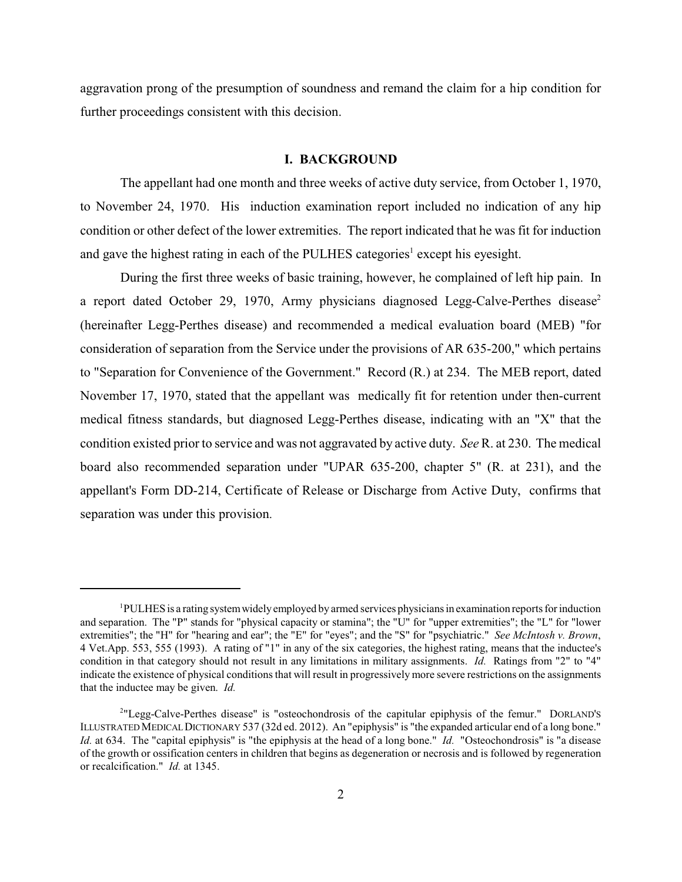aggravation prong of the presumption of soundness and remand the claim for a hip condition for further proceedings consistent with this decision.

## **I. BACKGROUND**

The appellant had one month and three weeks of active duty service, from October 1, 1970, to November 24, 1970. His induction examination report included no indication of any hip condition or other defect of the lower extremities. The report indicated that he was fit for induction and gave the highest rating in each of the PULHES categories<sup>1</sup> except his eyesight.

During the first three weeks of basic training, however, he complained of left hip pain. In a report dated October 29, 1970, Army physicians diagnosed Legg-Calve-Perthes disease<sup>2</sup> (hereinafter Legg-Perthes disease) and recommended a medical evaluation board (MEB) "for consideration of separation from the Service under the provisions of AR 635-200," which pertains to "Separation for Convenience of the Government." Record (R.) at 234. The MEB report, dated November 17, 1970, stated that the appellant was medically fit for retention under then-current medical fitness standards, but diagnosed Legg-Perthes disease, indicating with an "X" that the condition existed prior to service and was not aggravated by active duty. *See* R. at 230. The medical board also recommended separation under "UPAR 635-200, chapter 5" (R. at 231), and the appellant's Form DD-214, Certificate of Release or Discharge from Active Duty, confirms that separation was under this provision.

 $P<sup>1</sup>$ PULHES is a rating system widely employed by armed services physicians in examination reports for induction and separation. The "P" stands for "physical capacity or stamina"; the "U" for "upper extremities"; the "L" for "lower extremities"; the "H" for "hearing and ear"; the "E" for "eyes"; and the "S" for "psychiatric." *See McIntosh v. Brown*, 4 Vet.App. 553, 555 (1993). A rating of "1" in any of the six categories, the highest rating, means that the inductee's condition in that category should not result in any limitations in military assignments. *Id.* Ratings from "2" to "4" indicate the existence of physical conditions that will result in progressively more severe restrictions on the assignments that the inductee may be given. *Id.*

<sup>&</sup>lt;sup>2</sup>"Legg-Calve-Perthes disease" is "osteochondrosis of the capitular epiphysis of the femur." DORLAND'S ILLUSTRATED MEDICALDICTIONARY 537 (32d ed. 2012). An "epiphysis" is "the expanded articular end of a long bone." *Id.* at 634. The "capital epiphysis" is "the epiphysis at the head of a long bone." *Id.* "Osteochondrosis" is "a disease of the growth or ossification centers in children that begins as degeneration or necrosis and is followed by regeneration or recalcification." *Id.* at 1345.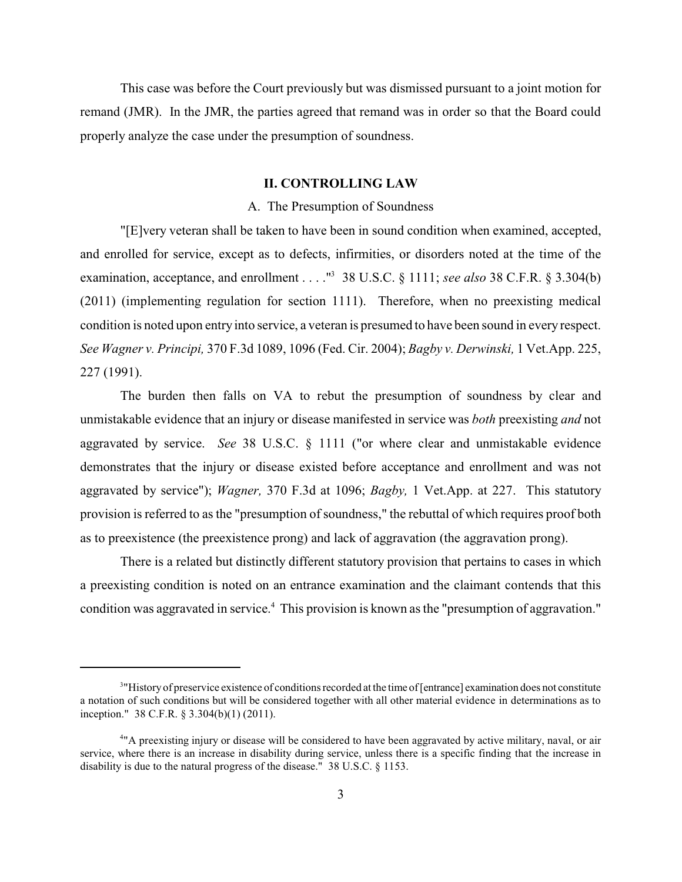This case was before the Court previously but was dismissed pursuant to a joint motion for remand (JMR). In the JMR, the parties agreed that remand was in order so that the Board could properly analyze the case under the presumption of soundness.

# **II. CONTROLLING LAW**

#### A. The Presumption of Soundness

"[E]very veteran shall be taken to have been in sound condition when examined, accepted, and enrolled for service, except as to defects, infirmities, or disorders noted at the time of the examination, acceptance, and enrollment . . . .  $^{\prime\prime}$  38 U.S.C. § 1111; *see also* 38 C.F.R. § 3.304(b) (2011) (implementing regulation for section 1111). Therefore, when no preexisting medical condition is noted upon entry into service, a veteran is presumed to have been sound in every respect. *See Wagner v. Principi,* 370 F.3d 1089, 1096 (Fed. Cir. 2004); *Bagby v. Derwinski,* 1 Vet.App. 225, 227 (1991).

The burden then falls on VA to rebut the presumption of soundness by clear and unmistakable evidence that an injury or disease manifested in service was *both* preexisting *and* not aggravated by service. *See* 38 U.S.C. § 1111 ("or where clear and unmistakable evidence demonstrates that the injury or disease existed before acceptance and enrollment and was not aggravated by service"); *Wagner,* 370 F.3d at 1096; *Bagby,* 1 Vet.App. at 227. This statutory provision is referred to as the "presumption of soundness," the rebuttal of which requires proof both as to preexistence (the preexistence prong) and lack of aggravation (the aggravation prong).

There is a related but distinctly different statutory provision that pertains to cases in which a preexisting condition is noted on an entrance examination and the claimant contends that this condition was aggravated in service.<sup>4</sup> This provision is known as the "presumption of aggravation."

<sup>&</sup>lt;sup>3</sup>"History of preservice existence of conditions recorded at the time of [entrance] examination does not constitute a notation of such conditions but will be considered together with all other material evidence in determinations as to inception." 38 C.F.R. § 3.304(b)(1) (2011).

<sup>&</sup>quot;A preexisting injury or disease will be considered to have been aggravated by active military, naval, or air <sup>4</sup> service, where there is an increase in disability during service, unless there is a specific finding that the increase in disability is due to the natural progress of the disease." 38 U.S.C. § 1153.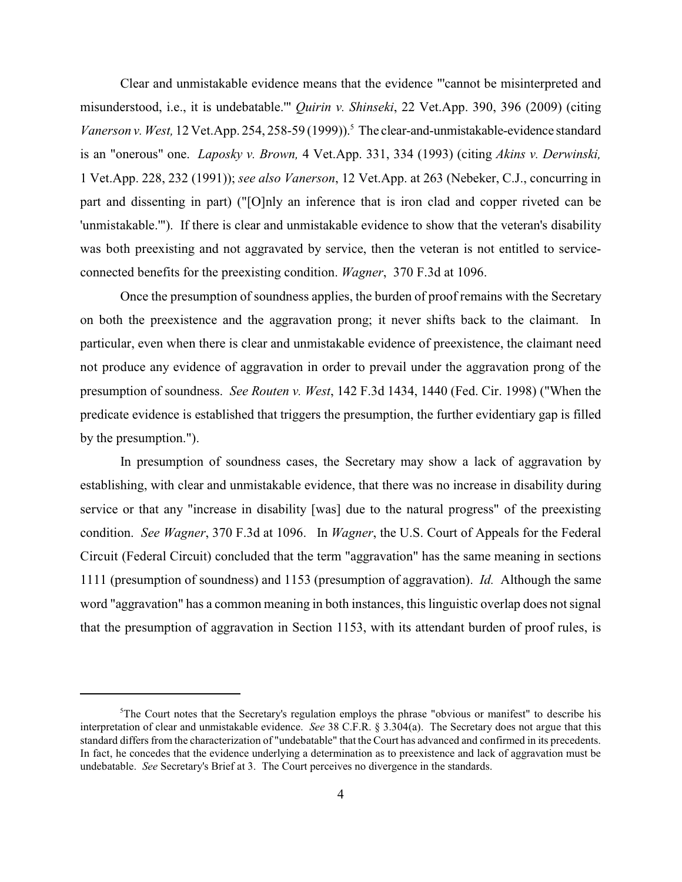Clear and unmistakable evidence means that the evidence "'cannot be misinterpreted and misunderstood, i.e., it is undebatable.'" *Quirin v. Shinseki*, 22 Vet.App. 390, 396 (2009) (citing *Vanerson v. West,* 12 Vet.App. 254, 258-59 (1999)).<sup>5</sup> The clear-and-unmistakable-evidence standard is an "onerous" one. *Laposky v. Brown,* 4 Vet.App. 331, 334 (1993) (citing *Akins v. Derwinski,* 1 Vet.App. 228, 232 (1991)); *see also Vanerson*, 12 Vet.App. at 263 (Nebeker, C.J., concurring in part and dissenting in part) ("[O]nly an inference that is iron clad and copper riveted can be 'unmistakable.'"). If there is clear and unmistakable evidence to show that the veteran's disability was both preexisting and not aggravated by service, then the veteran is not entitled to serviceconnected benefits for the preexisting condition. *Wagner*, 370 F.3d at 1096.

Once the presumption of soundness applies, the burden of proof remains with the Secretary on both the preexistence and the aggravation prong; it never shifts back to the claimant. In particular, even when there is clear and unmistakable evidence of preexistence, the claimant need not produce any evidence of aggravation in order to prevail under the aggravation prong of the presumption of soundness. *See Routen v. West*, 142 F.3d 1434, 1440 (Fed. Cir. 1998) ("When the predicate evidence is established that triggers the presumption, the further evidentiary gap is filled by the presumption.").

In presumption of soundness cases, the Secretary may show a lack of aggravation by establishing, with clear and unmistakable evidence, that there was no increase in disability during service or that any "increase in disability [was] due to the natural progress" of the preexisting condition. *See Wagner*, 370 F.3d at 1096. In *Wagner*, the U.S. Court of Appeals for the Federal Circuit (Federal Circuit) concluded that the term "aggravation" has the same meaning in sections 1111 (presumption of soundness) and 1153 (presumption of aggravation). *Id.* Although the same word "aggravation" has a common meaning in both instances, this linguistic overlap does not signal that the presumption of aggravation in Section 1153, with its attendant burden of proof rules, is

 $5$ The Court notes that the Secretary's regulation employs the phrase "obvious or manifest" to describe his interpretation of clear and unmistakable evidence. *See* 38 C.F.R. § 3.304(a). The Secretary does not argue that this standard differs from the characterization of "undebatable" that the Court has advanced and confirmed in its precedents. In fact, he concedes that the evidence underlying a determination as to preexistence and lack of aggravation must be undebatable. *See* Secretary's Brief at 3. The Court perceives no divergence in the standards.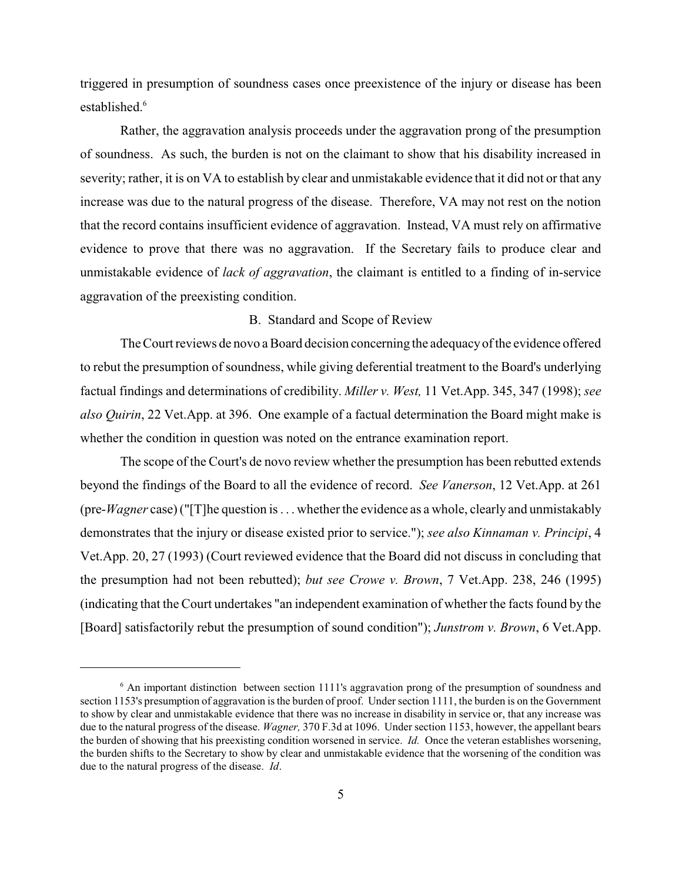triggered in presumption of soundness cases once preexistence of the injury or disease has been established. 6

Rather, the aggravation analysis proceeds under the aggravation prong of the presumption of soundness. As such, the burden is not on the claimant to show that his disability increased in severity; rather, it is on VA to establish by clear and unmistakable evidence that it did not or that any increase was due to the natural progress of the disease. Therefore, VA may not rest on the notion that the record contains insufficient evidence of aggravation. Instead, VA must rely on affirmative evidence to prove that there was no aggravation. If the Secretary fails to produce clear and unmistakable evidence of *lack of aggravation*, the claimant is entitled to a finding of in-service aggravation of the preexisting condition.

# B. Standard and Scope of Review

The Court reviews de novo a Board decision concerning the adequacyof the evidence offered to rebut the presumption of soundness, while giving deferential treatment to the Board's underlying factual findings and determinations of credibility. *Miller v. West,* 11 Vet.App. 345, 347 (1998); *see also Quirin*, 22 Vet.App. at 396. One example of a factual determination the Board might make is whether the condition in question was noted on the entrance examination report.

The scope of the Court's de novo review whether the presumption has been rebutted extends beyond the findings of the Board to all the evidence of record. *See Vanerson*, 12 Vet.App. at 261 (pre-*Wagner* case) ("[T]he question is . . . whetherthe evidence as a whole, clearly and unmistakably demonstrates that the injury or disease existed prior to service."); *see also Kinnaman v. Principi*, 4 Vet.App. 20, 27 (1993) (Court reviewed evidence that the Board did not discuss in concluding that the presumption had not been rebutted); *but see Crowe v. Brown*, 7 Vet.App. 238, 246 (1995) (indicating that the Court undertakes "an independent examination of whether the facts found by the [Board] satisfactorily rebut the presumption of sound condition"); *Junstrom v. Brown*, 6 Vet.App.

<sup>&</sup>lt;sup>6</sup> An important distinction between section 1111's aggravation prong of the presumption of soundness and section 1153's presumption of aggravation is the burden of proof. Under section 1111, the burden is on the Government to show by clear and unmistakable evidence that there was no increase in disability in service or, that any increase was due to the natural progress of the disease. *Wagner,* 370 F.3d at 1096. Under section 1153, however, the appellant bears the burden of showing that his preexisting condition worsened in service. *Id.* Once the veteran establishes worsening, the burden shifts to the Secretary to show by clear and unmistakable evidence that the worsening of the condition was due to the natural progress of the disease. *Id*.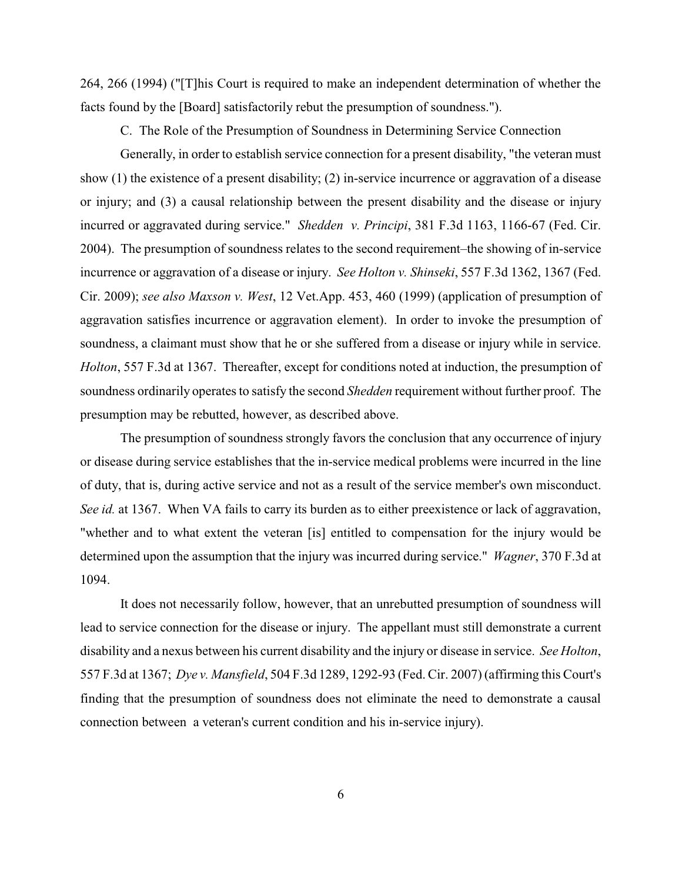264, 266 (1994) ("[T]his Court is required to make an independent determination of whether the facts found by the [Board] satisfactorily rebut the presumption of soundness.").

C. The Role of the Presumption of Soundness in Determining Service Connection

Generally, in order to establish service connection for a present disability, "the veteran must show (1) the existence of a present disability; (2) in-service incurrence or aggravation of a disease or injury; and (3) a causal relationship between the present disability and the disease or injury incurred or aggravated during service." *Shedden v. Principi*, 381 F.3d 1163, 1166-67 (Fed. Cir. 2004). The presumption of soundness relates to the second requirement–the showing of in-service incurrence or aggravation of a disease or injury. *See Holton v. Shinseki*, 557 F.3d 1362, 1367 (Fed. Cir. 2009); *see also Maxson v. West*, 12 Vet.App. 453, 460 (1999) (application of presumption of aggravation satisfies incurrence or aggravation element). In order to invoke the presumption of soundness, a claimant must show that he or she suffered from a disease or injury while in service. *Holton*, 557 F.3d at 1367. Thereafter, except for conditions noted at induction, the presumption of soundness ordinarily operates to satisfy the second *Shedden* requirement without further proof. The presumption may be rebutted, however, as described above.

The presumption of soundness strongly favors the conclusion that any occurrence of injury or disease during service establishes that the in-service medical problems were incurred in the line of duty, that is, during active service and not as a result of the service member's own misconduct. *See id.* at 1367. When VA fails to carry its burden as to either preexistence or lack of aggravation, "whether and to what extent the veteran [is] entitled to compensation for the injury would be determined upon the assumption that the injury was incurred during service." *Wagner*, 370 F.3d at 1094.

It does not necessarily follow, however, that an unrebutted presumption of soundness will lead to service connection for the disease or injury. The appellant must still demonstrate a current disability and a nexus between his current disability and the injury or disease in service. *See Holton*, 557 F.3d at 1367; *Dye v. Mansfield*, 504 F.3d 1289, 1292-93 (Fed. Cir. 2007) (affirming this Court's finding that the presumption of soundness does not eliminate the need to demonstrate a causal connection between a veteran's current condition and his in-service injury).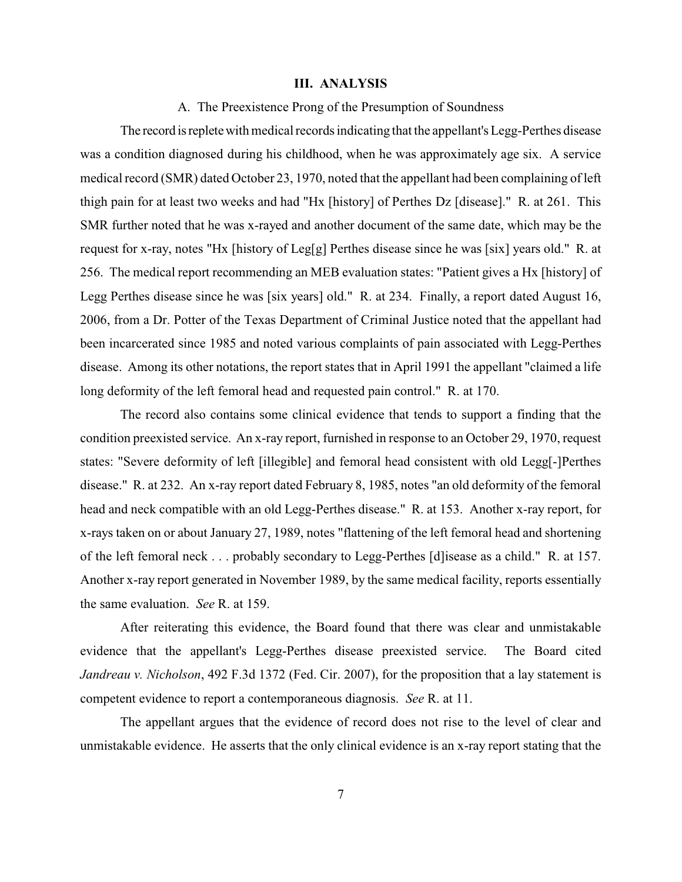### **III. ANALYSIS**

A. The Preexistence Prong of the Presumption of Soundness

The record isrepletewith medical records indicating that the appellant's Legg-Perthes disease was a condition diagnosed during his childhood, when he was approximately age six. A service medical record (SMR) dated October 23, 1970, noted that the appellant had been complaining of left thigh pain for at least two weeks and had "Hx [history] of Perthes Dz [disease]." R. at 261. This SMR further noted that he was x-rayed and another document of the same date, which may be the request for x-ray, notes "Hx [history of Leg[g] Perthes disease since he was [six] years old." R. at 256. The medical report recommending an MEB evaluation states: "Patient gives a Hx [history] of Legg Perthes disease since he was [six years] old." R. at 234. Finally, a report dated August 16, 2006, from a Dr. Potter of the Texas Department of Criminal Justice noted that the appellant had been incarcerated since 1985 and noted various complaints of pain associated with Legg-Perthes disease. Among its other notations, the report states that in April 1991 the appellant "claimed a life long deformity of the left femoral head and requested pain control." R. at 170.

The record also contains some clinical evidence that tends to support a finding that the condition preexisted service. An x-ray report, furnished in response to an October 29, 1970, request states: "Severe deformity of left [illegible] and femoral head consistent with old Legg[-]Perthes disease." R. at 232. An x-ray report dated February 8, 1985, notes "an old deformity of the femoral head and neck compatible with an old Legg-Perthes disease." R. at 153. Another x-ray report, for x-rays taken on or about January 27, 1989, notes "flattening of the left femoral head and shortening of the left femoral neck . . . probably secondary to Legg-Perthes [d]isease as a child." R. at 157. Another x-ray report generated in November 1989, by the same medical facility, reports essentially the same evaluation. *See* R. at 159.

After reiterating this evidence, the Board found that there was clear and unmistakable evidence that the appellant's Legg-Perthes disease preexisted service. The Board cited *Jandreau v. Nicholson*, 492 F.3d 1372 (Fed. Cir. 2007), for the proposition that a lay statement is competent evidence to report a contemporaneous diagnosis. *See* R. at 11.

The appellant argues that the evidence of record does not rise to the level of clear and unmistakable evidence. He asserts that the only clinical evidence is an x-ray report stating that the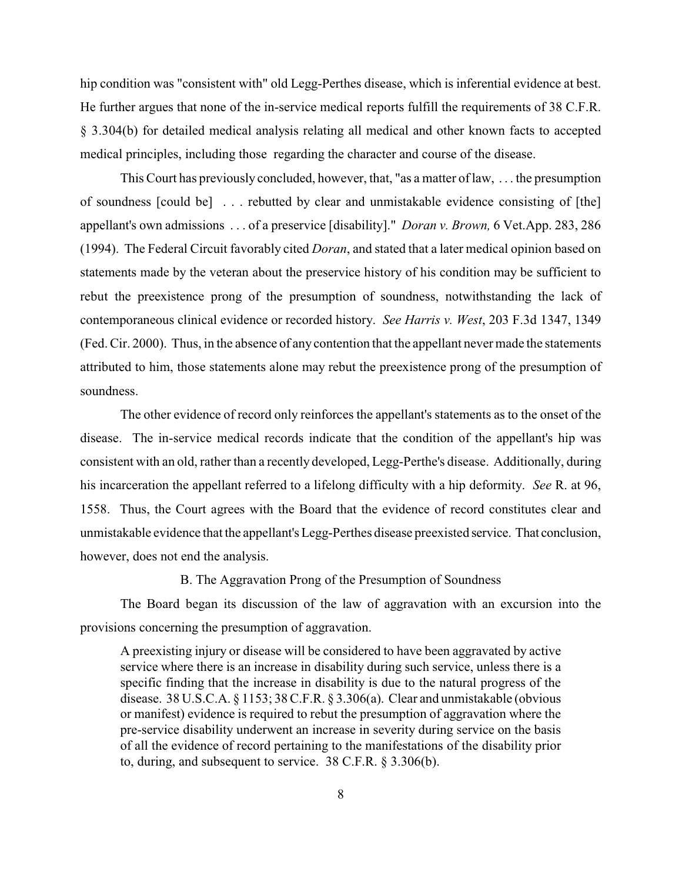hip condition was "consistent with" old Legg-Perthes disease, which is inferential evidence at best. He further argues that none of the in-service medical reports fulfill the requirements of 38 C.F.R. § 3.304(b) for detailed medical analysis relating all medical and other known facts to accepted medical principles, including those regarding the character and course of the disease.

This Court has previously concluded, however, that, "as a matter of law, . . . the presumption of soundness [could be] . . . rebutted by clear and unmistakable evidence consisting of [the] appellant's own admissions . . . of a preservice [disability]." *Doran v. Brown,* 6 Vet.App. 283, 286 (1994). The Federal Circuit favorably cited *Doran*, and stated that a later medical opinion based on statements made by the veteran about the preservice history of his condition may be sufficient to rebut the preexistence prong of the presumption of soundness, notwithstanding the lack of contemporaneous clinical evidence or recorded history. *See Harris v. West*, 203 F.3d 1347, 1349 (Fed. Cir. 2000). Thus, in the absence of any contention that the appellant nevermade the statements attributed to him, those statements alone may rebut the preexistence prong of the presumption of soundness.

The other evidence of record only reinforces the appellant's statements as to the onset of the disease. The in-service medical records indicate that the condition of the appellant's hip was consistent with an old, rather than a recently developed, Legg-Perthe's disease. Additionally, during his incarceration the appellant referred to a lifelong difficulty with a hip deformity. *See* R. at 96, 1558. Thus, the Court agrees with the Board that the evidence of record constitutes clear and unmistakable evidence that the appellant's Legg-Perthes disease preexisted service. That conclusion, however, does not end the analysis.

B. The Aggravation Prong of the Presumption of Soundness

The Board began its discussion of the law of aggravation with an excursion into the provisions concerning the presumption of aggravation.

A preexisting injury or disease will be considered to have been aggravated by active service where there is an increase in disability during such service, unless there is a specific finding that the increase in disability is due to the natural progress of the disease. 38 U.S.C.A. § 1153; 38 C.F.R. § 3.306(a). Clear and unmistakable (obvious or manifest) evidence is required to rebut the presumption of aggravation where the pre-service disability underwent an increase in severity during service on the basis of all the evidence of record pertaining to the manifestations of the disability prior to, during, and subsequent to service. 38 C.F.R. § 3.306(b).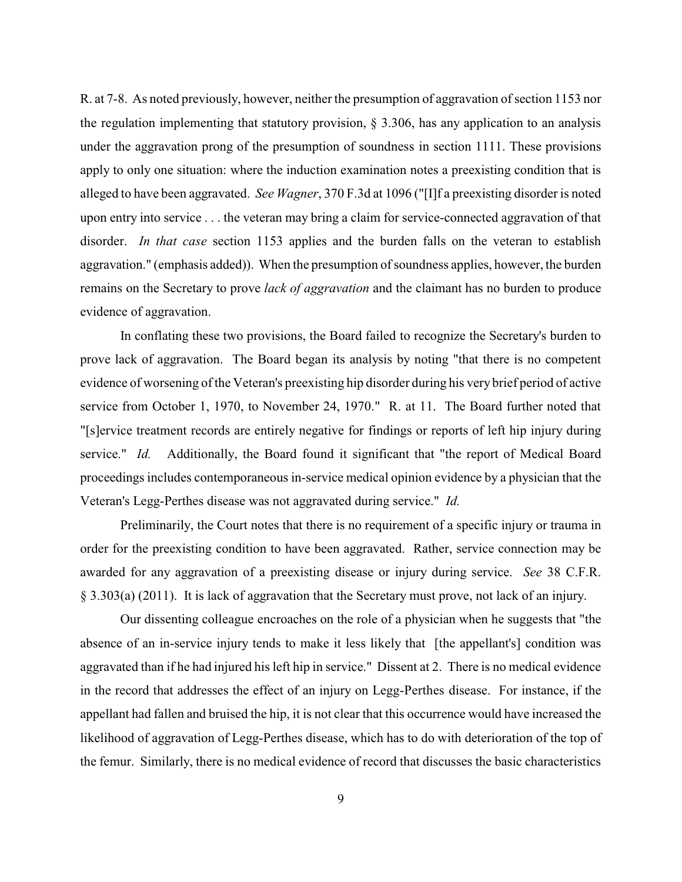R. at 7-8. As noted previously, however, neither the presumption of aggravation of section 1153 nor the regulation implementing that statutory provision, § 3.306, has any application to an analysis under the aggravation prong of the presumption of soundness in section 1111. These provisions apply to only one situation: where the induction examination notes a preexisting condition that is alleged to have been aggravated. *See Wagner*, 370 F.3d at 1096 ("[I]f a preexisting disorder is noted upon entry into service . . . the veteran may bring a claim for service-connected aggravation of that disorder. *In that case* section 1153 applies and the burden falls on the veteran to establish aggravation." (emphasis added)). When the presumption of soundness applies, however, the burden remains on the Secretary to prove *lack of aggravation* and the claimant has no burden to produce evidence of aggravation.

In conflating these two provisions, the Board failed to recognize the Secretary's burden to prove lack of aggravation. The Board began its analysis by noting "that there is no competent evidence of worsening of the Veteran's preexisting hip disorder during his very brief period of active service from October 1, 1970, to November 24, 1970." R. at 11. The Board further noted that "[s]ervice treatment records are entirely negative for findings or reports of left hip injury during service." *Id.* Additionally, the Board found it significant that "the report of Medical Board proceedings includes contemporaneous in-service medical opinion evidence by a physician that the Veteran's Legg-Perthes disease was not aggravated during service." *Id.* 

Preliminarily, the Court notes that there is no requirement of a specific injury or trauma in order for the preexisting condition to have been aggravated. Rather, service connection may be awarded for any aggravation of a preexisting disease or injury during service. *See* 38 C.F.R. § 3.303(a) (2011). It is lack of aggravation that the Secretary must prove, not lack of an injury.

Our dissenting colleague encroaches on the role of a physician when he suggests that "the absence of an in-service injury tends to make it less likely that [the appellant's] condition was aggravated than if he had injured his left hip in service." Dissent at 2. There is no medical evidence in the record that addresses the effect of an injury on Legg-Perthes disease. For instance, if the appellant had fallen and bruised the hip, it is not clear that this occurrence would have increased the likelihood of aggravation of Legg-Perthes disease, which has to do with deterioration of the top of the femur. Similarly, there is no medical evidence of record that discusses the basic characteristics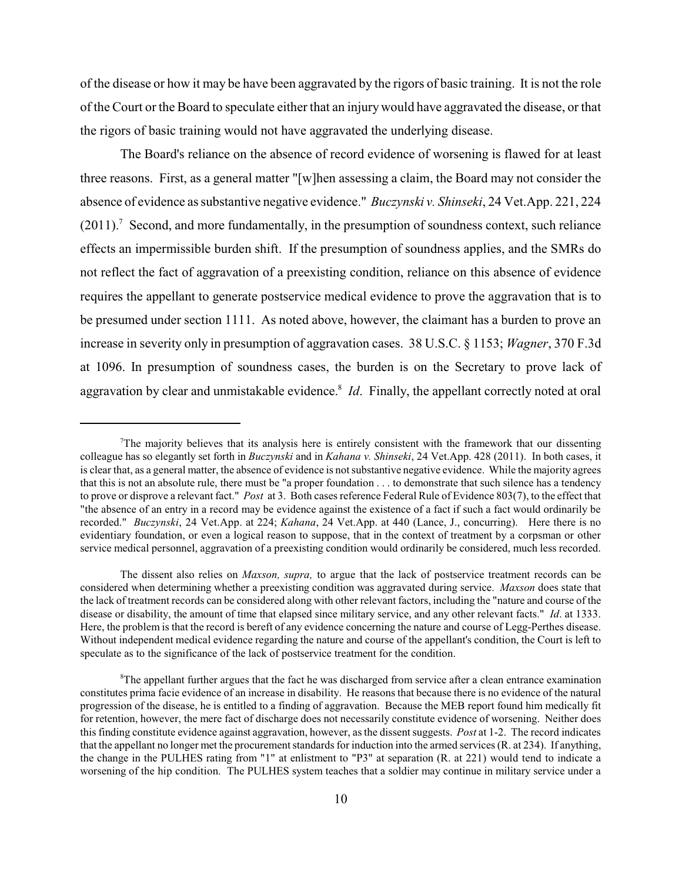of the disease or how it may be have been aggravated by the rigors of basic training. It is not the role of the Court or the Board to speculate either that an injurywould have aggravated the disease, or that the rigors of basic training would not have aggravated the underlying disease.

The Board's reliance on the absence of record evidence of worsening is flawed for at least three reasons. First, as a general matter "[w]hen assessing a claim, the Board may not consider the absence of evidence as substantive negative evidence." *Buczynski v. Shinseki*, 24 Vet.App. 221, 224  $(2011).$ <sup>7</sup> Second, and more fundamentally, in the presumption of soundness context, such reliance effects an impermissible burden shift. If the presumption of soundness applies, and the SMRs do not reflect the fact of aggravation of a preexisting condition, reliance on this absence of evidence requires the appellant to generate postservice medical evidence to prove the aggravation that is to be presumed under section 1111. As noted above, however, the claimant has a burden to prove an increase in severity only in presumption of aggravation cases. 38 U.S.C. § 1153; *Wagner*, 370 F.3d at 1096. In presumption of soundness cases, the burden is on the Secretary to prove lack of aggravation by clear and unmistakable evidence.<sup>8</sup> *Id*. Finally, the appellant correctly noted at oral

 $T$ The majority believes that its analysis here is entirely consistent with the framework that our dissenting colleague has so elegantly set forth in *Buczynski* and in *Kahana v. Shinseki*, 24 Vet.App. 428 (2011). In both cases, it is clear that, as a general matter, the absence of evidence is not substantive negative evidence. While the majority agrees that this is not an absolute rule, there must be "a proper foundation . . . to demonstrate that such silence has a tendency to prove or disprove a relevant fact." *Post* at 3. Both cases reference Federal Rule of Evidence 803(7), to the effect that "the absence of an entry in a record may be evidence against the existence of a fact if such a fact would ordinarily be recorded." *Buczynski*, 24 Vet.App. at 224; *Kahana*, 24 Vet.App. at 440 (Lance, J., concurring). Here there is no evidentiary foundation, or even a logical reason to suppose, that in the context of treatment by a corpsman or other service medical personnel, aggravation of a preexisting condition would ordinarily be considered, much less recorded.

The dissent also relies on *Maxson, supra,* to argue that the lack of postservice treatment records can be considered when determining whether a preexisting condition was aggravated during service. *Maxson* does state that the lack of treatment records can be considered along with other relevant factors, including the "nature and course of the disease or disability, the amount of time that elapsed since military service, and any other relevant facts." *Id*. at 1333. Here, the problem is that the record is bereft of any evidence concerning the nature and course of Legg-Perthes disease. Without independent medical evidence regarding the nature and course of the appellant's condition, the Court is left to speculate as to the significance of the lack of postservice treatment for the condition.

 ${}^8$ The appellant further argues that the fact he was discharged from service after a clean entrance examination constitutes prima facie evidence of an increase in disability. He reasons that because there is no evidence of the natural progression of the disease, he is entitled to a finding of aggravation. Because the MEB report found him medically fit for retention, however, the mere fact of discharge does not necessarily constitute evidence of worsening. Neither does thisfinding constitute evidence against aggravation, however, as the dissent suggests. *Post* at 1-2. The record indicates that the appellant no longer met the procurement standards for induction into the armed services (R. at 234). If anything, the change in the PULHES rating from "1" at enlistment to "P3" at separation (R. at 221) would tend to indicate a worsening of the hip condition. The PULHES system teaches that a soldier may continue in military service under a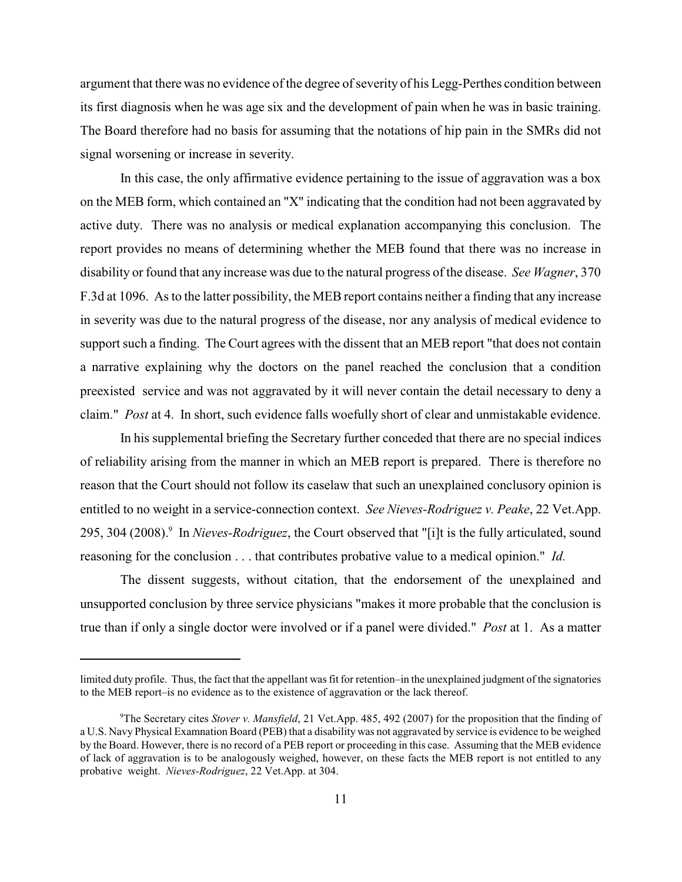argument that there was no evidence of the degree of severity of his Legg-Perthes condition between its first diagnosis when he was age six and the development of pain when he was in basic training. The Board therefore had no basis for assuming that the notations of hip pain in the SMRs did not signal worsening or increase in severity.

In this case, the only affirmative evidence pertaining to the issue of aggravation was a box on the MEB form, which contained an "X" indicating that the condition had not been aggravated by active duty. There was no analysis or medical explanation accompanying this conclusion. The report provides no means of determining whether the MEB found that there was no increase in disability or found that any increase was due to the natural progress of the disease. *See Wagner*, 370 F.3d at 1096. As to the latter possibility, the MEB report contains neither a finding that any increase in severity was due to the natural progress of the disease, nor any analysis of medical evidence to support such a finding. The Court agrees with the dissent that an MEB report "that does not contain a narrative explaining why the doctors on the panel reached the conclusion that a condition preexisted service and was not aggravated by it will never contain the detail necessary to deny a claim." *Post* at 4. In short, such evidence falls woefully short of clear and unmistakable evidence.

In his supplemental briefing the Secretary further conceded that there are no special indices of reliability arising from the manner in which an MEB report is prepared. There is therefore no reason that the Court should not follow its caselaw that such an unexplained conclusory opinion is entitled to no weight in a service-connection context. *See Nieves-Rodriguez v. Peake*, 22 Vet.App. 295, 304 (2008).<sup>9</sup> In *Nieves-Rodriguez*, the Court observed that "[i]t is the fully articulated, sound reasoning for the conclusion . . . that contributes probative value to a medical opinion." *Id.* 

The dissent suggests, without citation, that the endorsement of the unexplained and unsupported conclusion by three service physicians "makes it more probable that the conclusion is true than if only a single doctor were involved or if a panel were divided." *Post* at 1. As a matter

limited duty profile. Thus, the fact that the appellant was fit for retention–in the unexplained judgment of the signatories to the MEB report–is no evidence as to the existence of aggravation or the lack thereof.

<sup>&</sup>lt;sup>9</sup>The Secretary cites *Stover v. Mansfield*, 21 Vet.App. 485, 492 (2007) for the proposition that the finding of a U.S. Navy Physical Examnation Board (PEB) that a disability was not aggravated by service is evidence to be weighed by the Board. However, there is no record of a PEB report or proceeding in this case. Assuming that the MEB evidence of lack of aggravation is to be analogously weighed, however, on these facts the MEB report is not entitled to any probative weight. *Nieves-Rodriguez*, 22 Vet.App. at 304.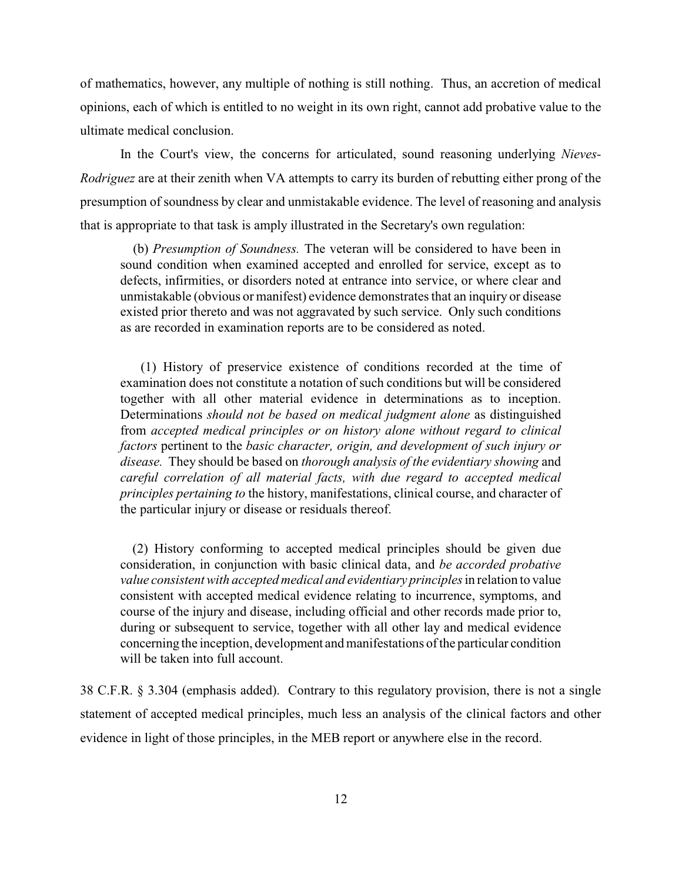of mathematics, however, any multiple of nothing is still nothing. Thus, an accretion of medical opinions, each of which is entitled to no weight in its own right, cannot add probative value to the ultimate medical conclusion.

In the Court's view, the concerns for articulated, sound reasoning underlying *Nieves-Rodriguez* are at their zenith when VA attempts to carry its burden of rebutting either prong of the presumption of soundness by clear and unmistakable evidence. The level of reasoning and analysis that is appropriate to that task is amply illustrated in the Secretary's own regulation:

(b) *Presumption of Soundness.* The veteran will be considered to have been in sound condition when examined accepted and enrolled for service, except as to defects, infirmities, or disorders noted at entrance into service, or where clear and unmistakable (obvious or manifest) evidence demonstrates that an inquiry or disease existed prior thereto and was not aggravated by such service. Only such conditions as are recorded in examination reports are to be considered as noted.

(1) History of preservice existence of conditions recorded at the time of examination does not constitute a notation of such conditions but will be considered together with all other material evidence in determinations as to inception. Determinations *should not be based on medical judgment alone* as distinguished from *accepted medical principles or on history alone without regard to clinical factors* pertinent to the *basic character, origin, and development of such injury or disease.* They should be based on *thorough analysis of the evidentiary showing* and *careful correlation of all material facts, with due regard to accepted medical principles pertaining to* the history, manifestations, clinical course, and character of the particular injury or disease or residuals thereof.

(2) History conforming to accepted medical principles should be given due consideration, in conjunction with basic clinical data, and *be accorded probative value consistent with accepted medical and evidentiary principles* in relation to value consistent with accepted medical evidence relating to incurrence, symptoms, and course of the injury and disease, including official and other records made prior to, during or subsequent to service, together with all other lay and medical evidence concerning the inception, development and manifestations of the particular condition will be taken into full account.

38 C.F.R. § 3.304 (emphasis added). Contrary to this regulatory provision, there is not a single statement of accepted medical principles, much less an analysis of the clinical factors and other evidence in light of those principles, in the MEB report or anywhere else in the record.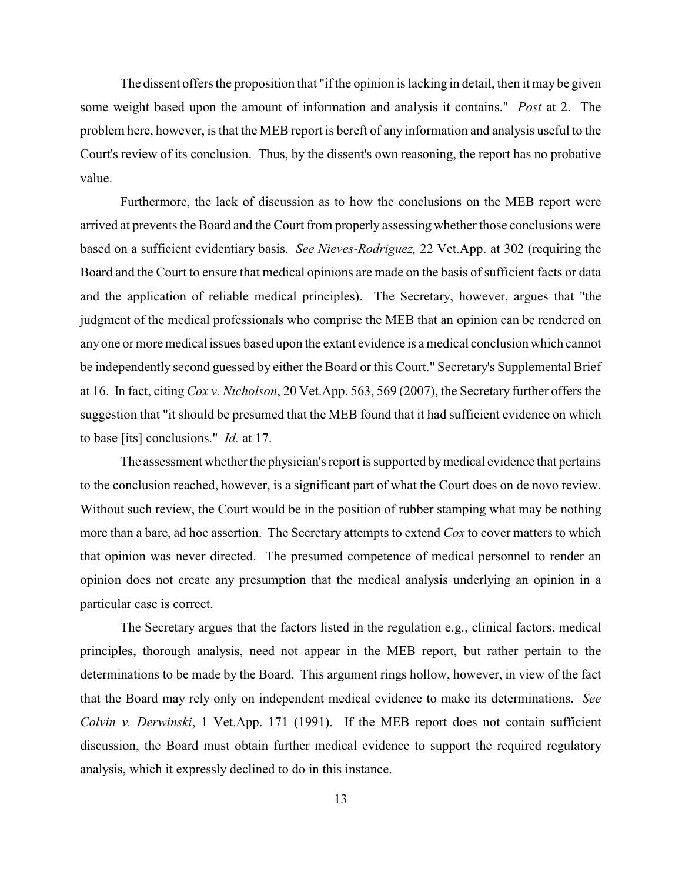The dissent offers the proposition that "if the opinion is lacking in detail, then it may be given some weight based upon the amount of information and analysis it contains." *Post* at 2. The problem here, however, is that the MEB report is bereft of any information and analysis useful to the Court's review of its conclusion. Thus, by the dissent's own reasoning, the report has no probative value.

Furthermore, the lack of discussion as to how the conclusions on the MEB report were arrived at prevents the Board and the Court from properly assessing whether those conclusions were based on a sufficient evidentiary basis. *See Nieves-Rodriguez,* 22 Vet.App. at 302 (requiring the Board and the Court to ensure that medical opinions are made on the basis of sufficient facts or data and the application of reliable medical principles). The Secretary, however, argues that "the judgment of the medical professionals who comprise the MEB that an opinion can be rendered on anyone or more medical issues based upon the extant evidence is a medical conclusion which cannot be independently second guessed by either the Board or this Court." Secretary's Supplemental Brief at 16. In fact, citing *Cox v. Nicholson*, 20 Vet.App. 563, 569 (2007), the Secretary further offers the suggestion that "it should be presumed that the MEB found that it had sufficient evidence on which to base [its] conclusions." *Id.* at 17.

The assessment whether the physician's report is supported by medical evidence that pertains to the conclusion reached, however, is a significant part of what the Court does on de novo review. Without such review, the Court would be in the position of rubber stamping what may be nothing more than a bare, ad hoc assertion. The Secretary attempts to extend *Cox* to cover matters to which that opinion was never directed. The presumed competence of medical personnel to render an opinion does not create any presumption that the medical analysis underlying an opinion in a particular case is correct.

The Secretary argues that the factors listed in the regulation e.g., clinical factors, medical principles, thorough analysis, need not appear in the MEB report, but rather pertain to the determinations to be made by the Board. This argument rings hollow, however, in view of the fact that the Board may rely only on independent medical evidence to make its determinations. *See Colvin v. Derwinski*, 1 Vet.App. 171 (1991). If the MEB report does not contain sufficient discussion, the Board must obtain further medical evidence to support the required regulatory analysis, which it expressly declined to do in this instance.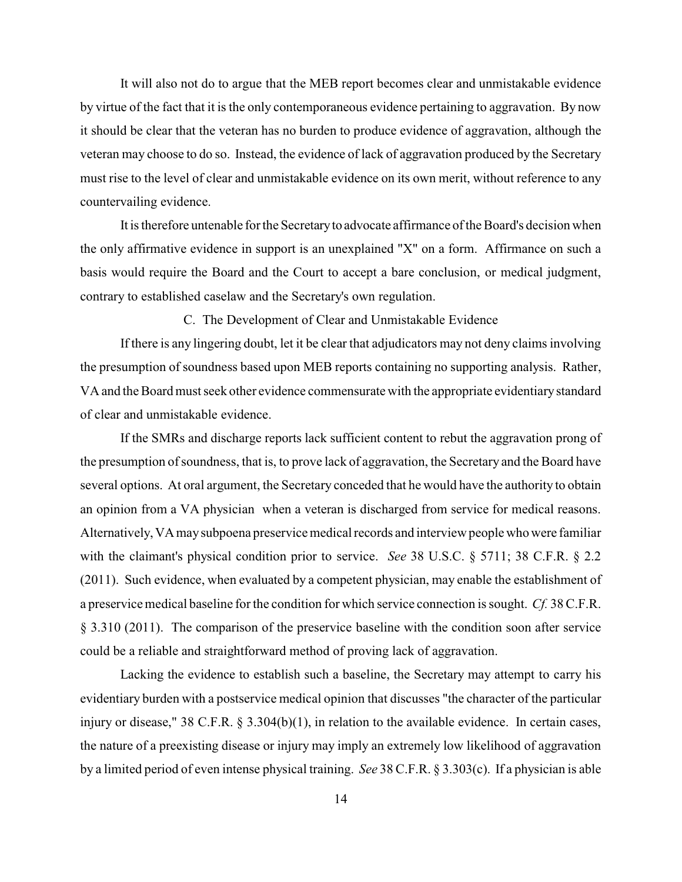It will also not do to argue that the MEB report becomes clear and unmistakable evidence by virtue of the fact that it is the only contemporaneous evidence pertaining to aggravation. By now it should be clear that the veteran has no burden to produce evidence of aggravation, although the veteran may choose to do so. Instead, the evidence of lack of aggravation produced by the Secretary must rise to the level of clear and unmistakable evidence on its own merit, without reference to any countervailing evidence.

It is therefore untenable for the Secretaryto advocate affirmance of the Board's decision when the only affirmative evidence in support is an unexplained "X" on a form. Affirmance on such a basis would require the Board and the Court to accept a bare conclusion, or medical judgment, contrary to established caselaw and the Secretary's own regulation.

C. The Development of Clear and Unmistakable Evidence

If there is any lingering doubt, let it be clear that adjudicators may not deny claims involving the presumption of soundness based upon MEB reports containing no supporting analysis. Rather, VA and the Board must seek other evidence commensurate with the appropriate evidentiarystandard of clear and unmistakable evidence.

If the SMRs and discharge reports lack sufficient content to rebut the aggravation prong of the presumption of soundness, that is, to prove lack of aggravation, the Secretary and the Board have several options. At oral argument, the Secretary conceded that he would have the authority to obtain an opinion from a VA physician when a veteran is discharged from service for medical reasons. Alternatively, VA may subpoena preservice medical records and interview people who were familiar with the claimant's physical condition prior to service. *See* 38 U.S.C. § 5711; 38 C.F.R. § 2.2 (2011). Such evidence, when evaluated by a competent physician, may enable the establishment of a preservice medical baseline for the condition for which service connection is sought. *Cf.* 38 C.F.R. § 3.310 (2011). The comparison of the preservice baseline with the condition soon after service could be a reliable and straightforward method of proving lack of aggravation.

Lacking the evidence to establish such a baseline, the Secretary may attempt to carry his evidentiary burden with a postservice medical opinion that discusses "the character of the particular injury or disease," 38 C.F.R. § 3.304(b)(1), in relation to the available evidence. In certain cases, the nature of a preexisting disease or injury may imply an extremely low likelihood of aggravation by a limited period of even intense physical training. *See* 38 C.F.R. § 3.303(c). If a physician is able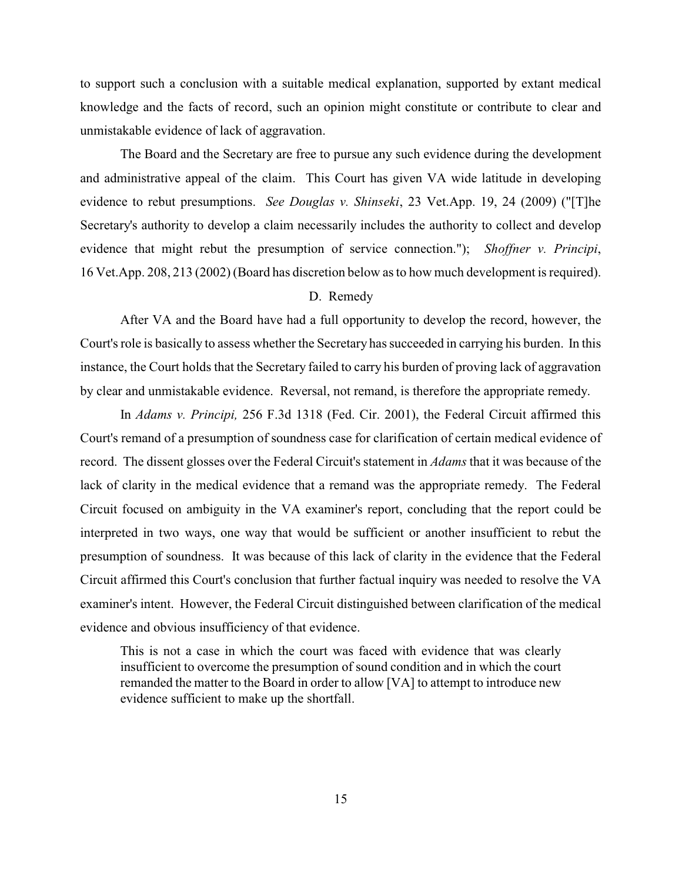to support such a conclusion with a suitable medical explanation, supported by extant medical knowledge and the facts of record, such an opinion might constitute or contribute to clear and unmistakable evidence of lack of aggravation.

The Board and the Secretary are free to pursue any such evidence during the development and administrative appeal of the claim. This Court has given VA wide latitude in developing evidence to rebut presumptions. *See Douglas v. Shinseki*, 23 Vet.App. 19, 24 (2009) ("[T]he Secretary's authority to develop a claim necessarily includes the authority to collect and develop evidence that might rebut the presumption of service connection."); *Shoffner v. Principi*, 16 Vet.App. 208, 213 (2002) (Board has discretion below as to how much development is required).

# D. Remedy

After VA and the Board have had a full opportunity to develop the record, however, the Court's role is basically to assess whether the Secretary has succeeded in carrying his burden. In this instance, the Court holds that the Secretary failed to carry his burden of proving lack of aggravation by clear and unmistakable evidence. Reversal, not remand, is therefore the appropriate remedy.

In *Adams v. Principi,* 256 F.3d 1318 (Fed. Cir. 2001), the Federal Circuit affirmed this Court's remand of a presumption of soundness case for clarification of certain medical evidence of record. The dissent glosses over the Federal Circuit's statement in *Adams* that it was because of the lack of clarity in the medical evidence that a remand was the appropriate remedy. The Federal Circuit focused on ambiguity in the VA examiner's report, concluding that the report could be interpreted in two ways, one way that would be sufficient or another insufficient to rebut the presumption of soundness. It was because of this lack of clarity in the evidence that the Federal Circuit affirmed this Court's conclusion that further factual inquiry was needed to resolve the VA examiner's intent. However, the Federal Circuit distinguished between clarification of the medical evidence and obvious insufficiency of that evidence.

This is not a case in which the court was faced with evidence that was clearly insufficient to overcome the presumption of sound condition and in which the court remanded the matter to the Board in order to allow [VA] to attempt to introduce new evidence sufficient to make up the shortfall.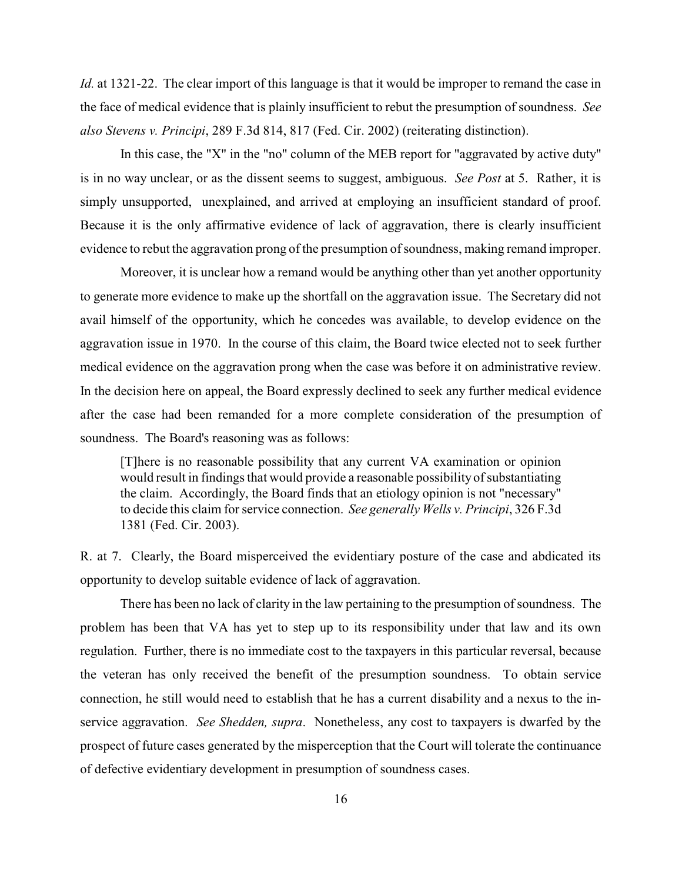*Id.* at 1321-22. The clear import of this language is that it would be improper to remand the case in the face of medical evidence that is plainly insufficient to rebut the presumption of soundness. *See also Stevens v. Principi*, 289 F.3d 814, 817 (Fed. Cir. 2002) (reiterating distinction).

In this case, the "X" in the "no" column of the MEB report for "aggravated by active duty" is in no way unclear, or as the dissent seems to suggest, ambiguous. *See Post* at 5. Rather, it is simply unsupported, unexplained, and arrived at employing an insufficient standard of proof. Because it is the only affirmative evidence of lack of aggravation, there is clearly insufficient evidence to rebut the aggravation prong of the presumption of soundness, making remand improper.

Moreover, it is unclear how a remand would be anything other than yet another opportunity to generate more evidence to make up the shortfall on the aggravation issue. The Secretary did not avail himself of the opportunity, which he concedes was available, to develop evidence on the aggravation issue in 1970. In the course of this claim, the Board twice elected not to seek further medical evidence on the aggravation prong when the case was before it on administrative review. In the decision here on appeal, the Board expressly declined to seek any further medical evidence after the case had been remanded for a more complete consideration of the presumption of soundness. The Board's reasoning was as follows:

[T]here is no reasonable possibility that any current VA examination or opinion would result in findings that would provide a reasonable possibility of substantiating the claim. Accordingly, the Board finds that an etiology opinion is not "necessary" to decide this claim for service connection. *See generally Wells v. Principi*, 326 F.3d 1381 (Fed. Cir. 2003).

R. at 7. Clearly, the Board misperceived the evidentiary posture of the case and abdicated its opportunity to develop suitable evidence of lack of aggravation.

There has been no lack of clarity in the law pertaining to the presumption of soundness. The problem has been that VA has yet to step up to its responsibility under that law and its own regulation. Further, there is no immediate cost to the taxpayers in this particular reversal, because the veteran has only received the benefit of the presumption soundness. To obtain service connection, he still would need to establish that he has a current disability and a nexus to the inservice aggravation. *See Shedden, supra*. Nonetheless, any cost to taxpayers is dwarfed by the prospect of future cases generated by the misperception that the Court will tolerate the continuance of defective evidentiary development in presumption of soundness cases.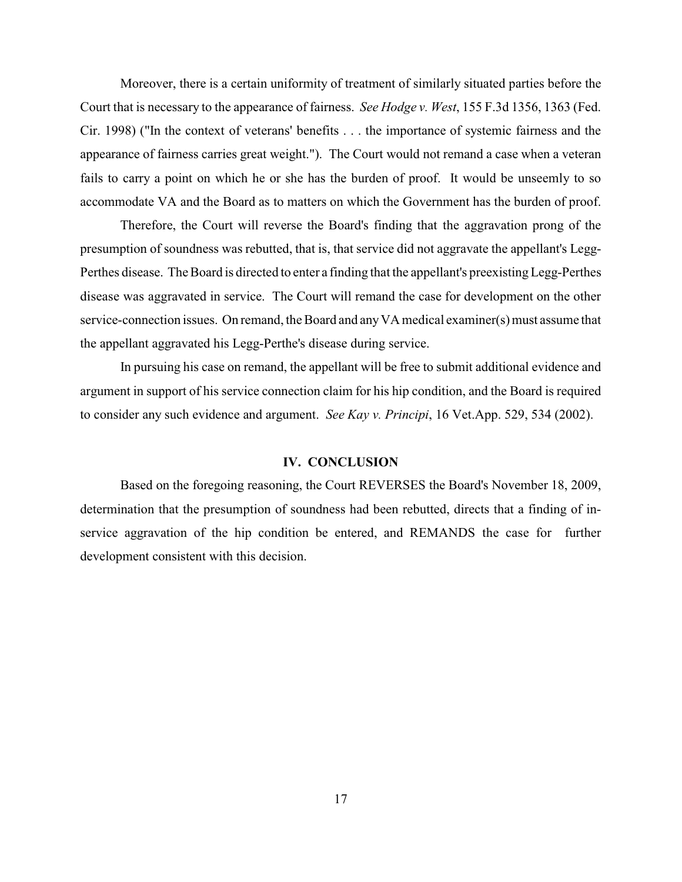Moreover, there is a certain uniformity of treatment of similarly situated parties before the Court that is necessary to the appearance of fairness. *See Hodge v. West*, 155 F.3d 1356, 1363 (Fed. Cir. 1998) ("In the context of veterans' benefits . . . the importance of systemic fairness and the appearance of fairness carries great weight."). The Court would not remand a case when a veteran fails to carry a point on which he or she has the burden of proof. It would be unseemly to so accommodate VA and the Board as to matters on which the Government has the burden of proof.

Therefore, the Court will reverse the Board's finding that the aggravation prong of the presumption of soundness was rebutted, that is, that service did not aggravate the appellant's Legg-Perthes disease. The Board is directed to enter a finding that the appellant's preexisting Legg-Perthes disease was aggravated in service. The Court will remand the case for development on the other service-connection issues. On remand, the Board and any VA medical examiner(s) must assume that the appellant aggravated his Legg-Perthe's disease during service.

In pursuing his case on remand, the appellant will be free to submit additional evidence and argument in support of his service connection claim for his hip condition, and the Board is required to consider any such evidence and argument. *See Kay v. Principi*, 16 Vet.App. 529, 534 (2002).

### **IV. CONCLUSION**

Based on the foregoing reasoning, the Court REVERSES the Board's November 18, 2009, determination that the presumption of soundness had been rebutted, directs that a finding of inservice aggravation of the hip condition be entered, and REMANDS the case for further development consistent with this decision.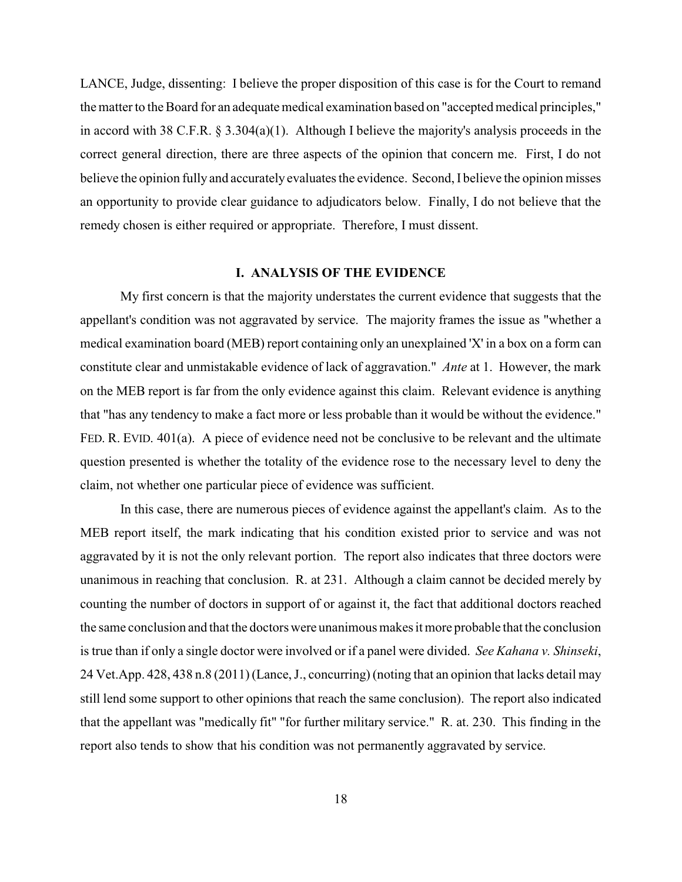LANCE, Judge, dissenting: I believe the proper disposition of this case is for the Court to remand the matter to the Board for an adequate medical examination based on "accepted medical principles," in accord with 38 C.F.R. § 3.304(a)(1). Although I believe the majority's analysis proceeds in the correct general direction, there are three aspects of the opinion that concern me. First, I do not believe the opinion fully and accurately evaluates the evidence. Second, I believe the opinion misses an opportunity to provide clear guidance to adjudicators below. Finally, I do not believe that the remedy chosen is either required or appropriate. Therefore, I must dissent.

#### **I. ANALYSIS OF THE EVIDENCE**

My first concern is that the majority understates the current evidence that suggests that the appellant's condition was not aggravated by service. The majority frames the issue as "whether a medical examination board (MEB) report containing only an unexplained 'X' in a box on a form can constitute clear and unmistakable evidence of lack of aggravation." *Ante* at 1. However, the mark on the MEB report is far from the only evidence against this claim. Relevant evidence is anything that "has any tendency to make a fact more or less probable than it would be without the evidence." FED. R. EVID. 401(a). A piece of evidence need not be conclusive to be relevant and the ultimate question presented is whether the totality of the evidence rose to the necessary level to deny the claim, not whether one particular piece of evidence was sufficient.

In this case, there are numerous pieces of evidence against the appellant's claim. As to the MEB report itself, the mark indicating that his condition existed prior to service and was not aggravated by it is not the only relevant portion. The report also indicates that three doctors were unanimous in reaching that conclusion. R. at 231. Although a claim cannot be decided merely by counting the number of doctors in support of or against it, the fact that additional doctors reached the same conclusion and that the doctors were unanimous makes it more probable that the conclusion is true than if only a single doctor were involved or if a panel were divided. *See Kahana v. Shinseki*, 24 Vet.App. 428, 438 n.8 (2011) (Lance, J., concurring) (noting that an opinion that lacks detail may still lend some support to other opinions that reach the same conclusion). The report also indicated that the appellant was "medically fit" "for further military service." R. at. 230. This finding in the report also tends to show that his condition was not permanently aggravated by service.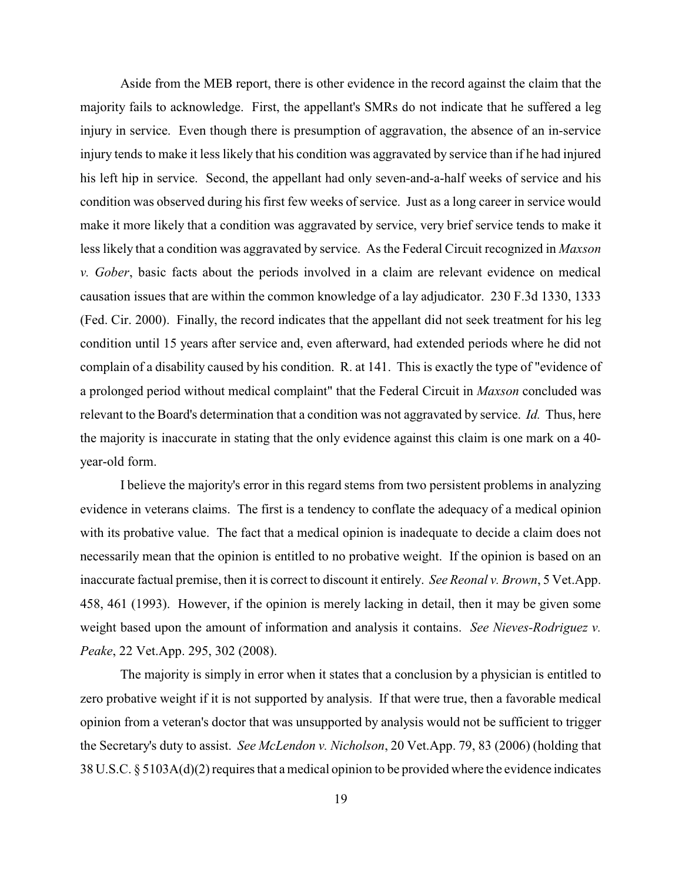Aside from the MEB report, there is other evidence in the record against the claim that the majority fails to acknowledge. First, the appellant's SMRs do not indicate that he suffered a leg injury in service. Even though there is presumption of aggravation, the absence of an in-service injury tends to make it less likely that his condition was aggravated by service than if he had injured his left hip in service. Second, the appellant had only seven-and-a-half weeks of service and his condition was observed during his first few weeks of service. Just as a long career in service would make it more likely that a condition was aggravated by service, very brief service tends to make it less likely that a condition was aggravated by service. As the Federal Circuit recognized in *Maxson v. Gober*, basic facts about the periods involved in a claim are relevant evidence on medical causation issues that are within the common knowledge of a lay adjudicator. 230 F.3d 1330, 1333 (Fed. Cir. 2000). Finally, the record indicates that the appellant did not seek treatment for his leg condition until 15 years after service and, even afterward, had extended periods where he did not complain of a disability caused by his condition. R. at 141. This is exactly the type of "evidence of a prolonged period without medical complaint" that the Federal Circuit in *Maxson* concluded was relevant to the Board's determination that a condition was not aggravated by service. *Id.* Thus, here the majority is inaccurate in stating that the only evidence against this claim is one mark on a 40 year-old form.

I believe the majority's error in this regard stems from two persistent problems in analyzing evidence in veterans claims. The first is a tendency to conflate the adequacy of a medical opinion with its probative value. The fact that a medical opinion is inadequate to decide a claim does not necessarily mean that the opinion is entitled to no probative weight. If the opinion is based on an inaccurate factual premise, then it is correct to discount it entirely. *See Reonal v. Brown*, 5 Vet.App. 458, 461 (1993). However, if the opinion is merely lacking in detail, then it may be given some weight based upon the amount of information and analysis it contains. *See Nieves-Rodriguez v. Peake*, 22 Vet.App. 295, 302 (2008).

The majority is simply in error when it states that a conclusion by a physician is entitled to zero probative weight if it is not supported by analysis. If that were true, then a favorable medical opinion from a veteran's doctor that was unsupported by analysis would not be sufficient to trigger the Secretary's duty to assist. *See McLendon v. Nicholson*, 20 Vet.App. 79, 83 (2006) (holding that 38 U.S.C. § 5103A(d)(2) requires that a medical opinion to be provided where the evidence indicates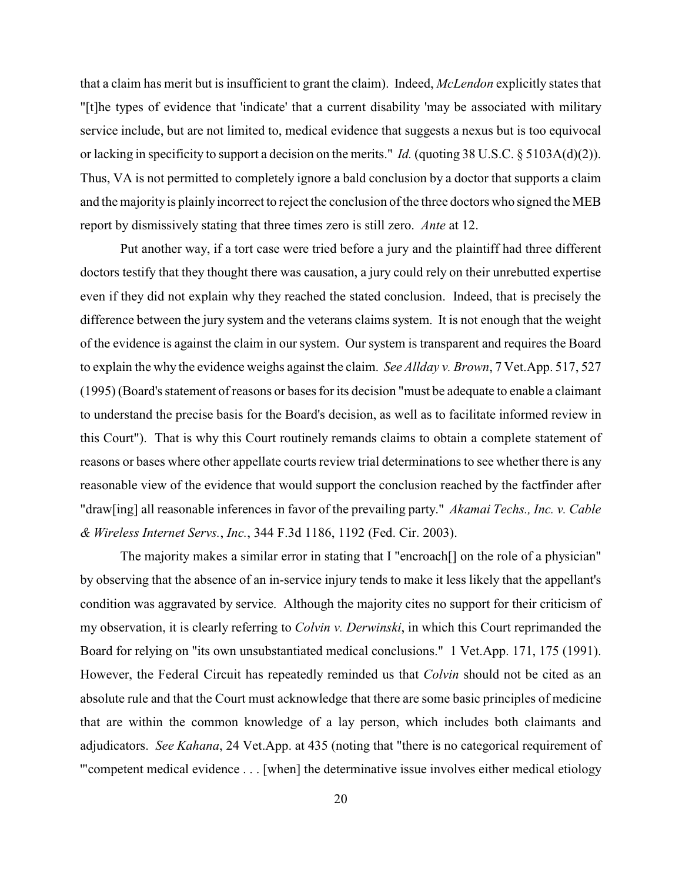that a claim has merit but is insufficient to grant the claim). Indeed, *McLendon* explicitly states that "[t]he types of evidence that 'indicate' that a current disability 'may be associated with military service include, but are not limited to, medical evidence that suggests a nexus but is too equivocal or lacking in specificity to support a decision on the merits." *Id.* (quoting 38 U.S.C. § 5103A(d)(2)). Thus, VA is not permitted to completely ignore a bald conclusion by a doctor that supports a claim and the majority is plainly incorrect to reject the conclusion of the three doctors who signed the MEB report by dismissively stating that three times zero is still zero. *Ante* at 12.

Put another way, if a tort case were tried before a jury and the plaintiff had three different doctors testify that they thought there was causation, a jury could rely on their unrebutted expertise even if they did not explain why they reached the stated conclusion. Indeed, that is precisely the difference between the jury system and the veterans claims system. It is not enough that the weight of the evidence is against the claim in our system. Our system is transparent and requires the Board to explain the why the evidence weighs against the claim. *See Allday v. Brown*, 7 Vet.App. 517, 527 (1995) (Board's statement of reasons or bases for its decision "must be adequate to enable a claimant to understand the precise basis for the Board's decision, as well as to facilitate informed review in this Court"). That is why this Court routinely remands claims to obtain a complete statement of reasons or bases where other appellate courts review trial determinations to see whether there is any reasonable view of the evidence that would support the conclusion reached by the factfinder after "draw[ing] all reasonable inferences in favor of the prevailing party." *Akamai Techs., Inc. v. Cable & Wireless Internet Servs.*, *Inc.*, 344 F.3d 1186, 1192 (Fed. Cir. 2003).

The majority makes a similar error in stating that I "encroach[] on the role of a physician" by observing that the absence of an in-service injury tends to make it less likely that the appellant's condition was aggravated by service. Although the majority cites no support for their criticism of my observation, it is clearly referring to *Colvin v. Derwinski*, in which this Court reprimanded the Board for relying on "its own unsubstantiated medical conclusions." 1 Vet.App. 171, 175 (1991). However, the Federal Circuit has repeatedly reminded us that *Colvin* should not be cited as an absolute rule and that the Court must acknowledge that there are some basic principles of medicine that are within the common knowledge of a lay person, which includes both claimants and adjudicators. *See Kahana*, 24 Vet.App. at 435 (noting that "there is no categorical requirement of '"competent medical evidence . . . [when] the determinative issue involves either medical etiology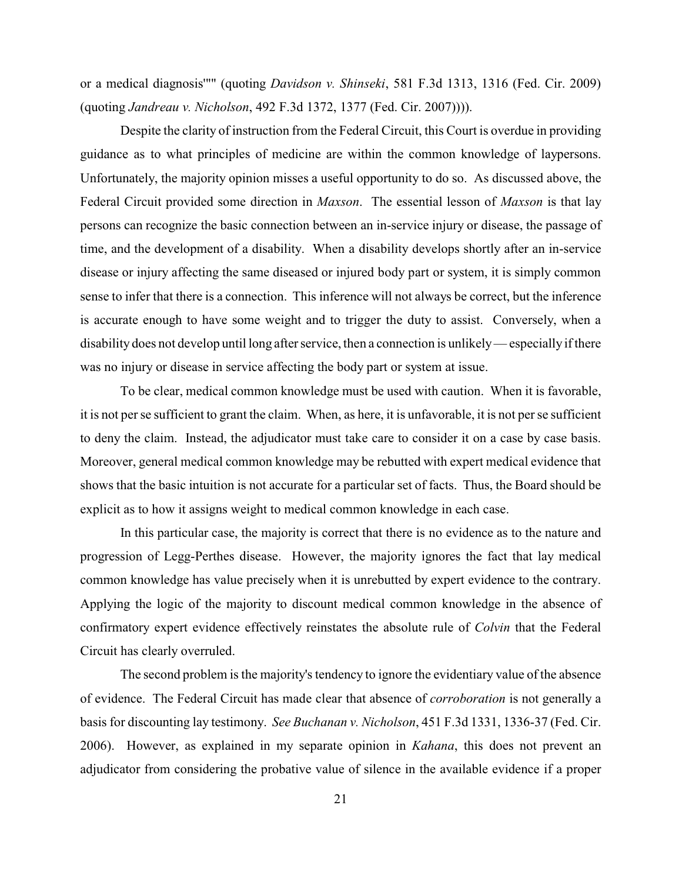or a medical diagnosis'"" (quoting *Davidson v. Shinseki*, 581 F.3d 1313, 1316 (Fed. Cir. 2009) (quoting *Jandreau v. Nicholson*, 492 F.3d 1372, 1377 (Fed. Cir. 2007)))).

Despite the clarity of instruction from the Federal Circuit, this Court is overdue in providing guidance as to what principles of medicine are within the common knowledge of laypersons. Unfortunately, the majority opinion misses a useful opportunity to do so. As discussed above, the Federal Circuit provided some direction in *Maxson*. The essential lesson of *Maxson* is that lay persons can recognize the basic connection between an in-service injury or disease, the passage of time, and the development of a disability. When a disability develops shortly after an in-service disease or injury affecting the same diseased or injured body part or system, it is simply common sense to infer that there is a connection. This inference will not always be correct, but the inference is accurate enough to have some weight and to trigger the duty to assist. Conversely, when a disability does not develop until long after service, then a connection is unlikely— especially if there was no injury or disease in service affecting the body part or system at issue.

To be clear, medical common knowledge must be used with caution. When it is favorable, it is not per se sufficient to grant the claim. When, as here, it is unfavorable, it is not per se sufficient to deny the claim. Instead, the adjudicator must take care to consider it on a case by case basis. Moreover, general medical common knowledge may be rebutted with expert medical evidence that shows that the basic intuition is not accurate for a particular set of facts. Thus, the Board should be explicit as to how it assigns weight to medical common knowledge in each case.

In this particular case, the majority is correct that there is no evidence as to the nature and progression of Legg-Perthes disease. However, the majority ignores the fact that lay medical common knowledge has value precisely when it is unrebutted by expert evidence to the contrary. Applying the logic of the majority to discount medical common knowledge in the absence of confirmatory expert evidence effectively reinstates the absolute rule of *Colvin* that the Federal Circuit has clearly overruled.

The second problem is the majority's tendency to ignore the evidentiary value of the absence of evidence. The Federal Circuit has made clear that absence of *corroboration* is not generally a basis for discounting lay testimony. *See Buchanan v. Nicholson*, 451 F.3d 1331, 1336-37 (Fed. Cir. 2006). However, as explained in my separate opinion in *Kahana*, this does not prevent an adjudicator from considering the probative value of silence in the available evidence if a proper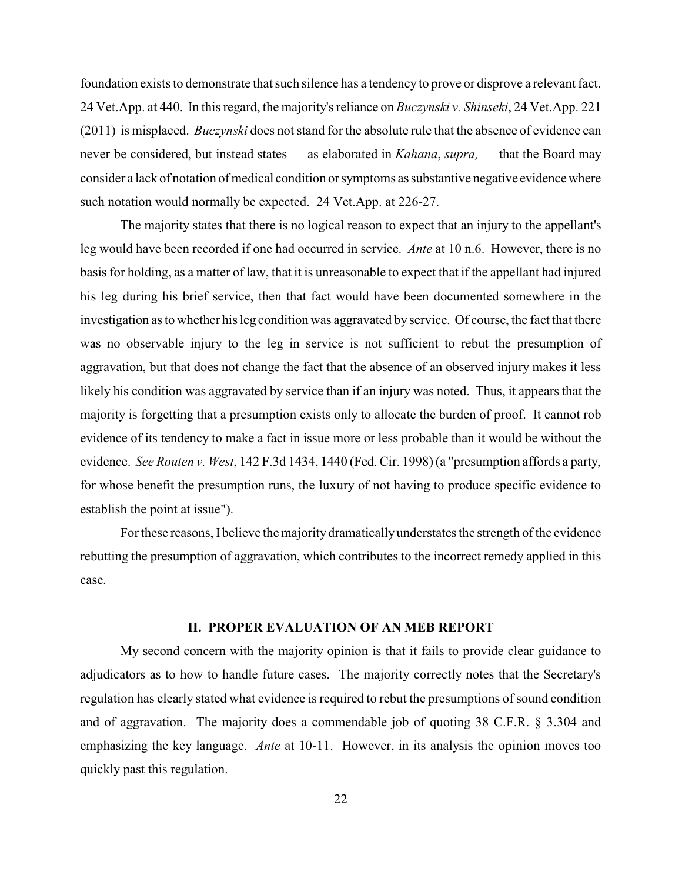foundation exists to demonstrate that such silence has a tendency to prove or disprove a relevant fact. 24 Vet.App. at 440. In this regard, the majority's reliance on *Buczynski v. Shinseki*, 24 Vet.App. 221 (2011) is misplaced. *Buczynski* does not stand for the absolute rule that the absence of evidence can never be considered, but instead states — as elaborated in *Kahana*, *supra,* — that the Board may consider a lack of notation of medical condition or symptoms as substantive negative evidencewhere such notation would normally be expected. 24 Vet.App. at 226-27.

The majority states that there is no logical reason to expect that an injury to the appellant's leg would have been recorded if one had occurred in service. *Ante* at 10 n.6. However, there is no basis for holding, as a matter of law, that it is unreasonable to expect that if the appellant had injured his leg during his brief service, then that fact would have been documented somewhere in the investigation as to whether his leg condition was aggravated by service. Of course, the fact that there was no observable injury to the leg in service is not sufficient to rebut the presumption of aggravation, but that does not change the fact that the absence of an observed injury makes it less likely his condition was aggravated by service than if an injury was noted. Thus, it appears that the majority is forgetting that a presumption exists only to allocate the burden of proof. It cannot rob evidence of its tendency to make a fact in issue more or less probable than it would be without the evidence. *See Routen v. West*, 142 F.3d 1434, 1440 (Fed. Cir. 1998) (a "presumption affords a party, for whose benefit the presumption runs, the luxury of not having to produce specific evidence to establish the point at issue").

Forthese reasons, I believe the majority dramaticallyunderstates the strength of the evidence rebutting the presumption of aggravation, which contributes to the incorrect remedy applied in this case.

#### **II. PROPER EVALUATION OF AN MEB REPORT**

My second concern with the majority opinion is that it fails to provide clear guidance to adjudicators as to how to handle future cases. The majority correctly notes that the Secretary's regulation has clearly stated what evidence is required to rebut the presumptions of sound condition and of aggravation. The majority does a commendable job of quoting 38 C.F.R. § 3.304 and emphasizing the key language. *Ante* at 10-11. However, in its analysis the opinion moves too quickly past this regulation.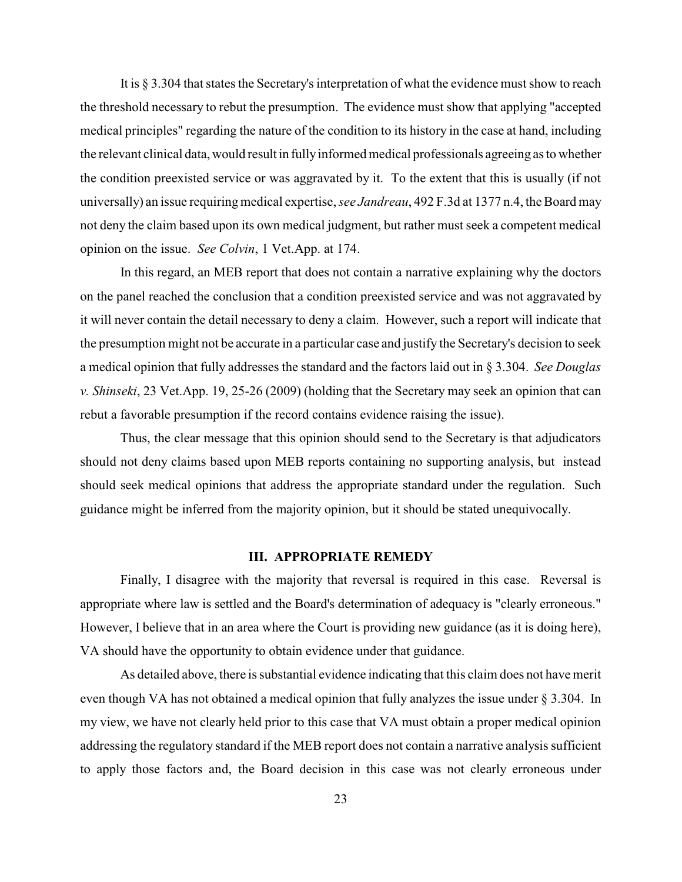It is § 3.304 that states the Secretary's interpretation of what the evidence must show to reach the threshold necessary to rebut the presumption. The evidence must show that applying "accepted medical principles" regarding the nature of the condition to its history in the case at hand, including the relevant clinical data, would resultin fullyinformed medical professionals agreeing as to whether the condition preexisted service or was aggravated by it. To the extent that this is usually (if not universally) an issue requiring medical expertise, *see Jandreau*, 492 F.3d at 1377 n.4, the Board may not deny the claim based upon its own medical judgment, but rather must seek a competent medical opinion on the issue. *See Colvin*, 1 Vet.App. at 174.

In this regard, an MEB report that does not contain a narrative explaining why the doctors on the panel reached the conclusion that a condition preexisted service and was not aggravated by it will never contain the detail necessary to deny a claim. However, such a report will indicate that the presumption might not be accurate in a particular case and justify the Secretary's decision to seek a medical opinion that fully addresses the standard and the factors laid out in § 3.304. *See Douglas v. Shinseki*, 23 Vet.App. 19, 25-26 (2009) (holding that the Secretary may seek an opinion that can rebut a favorable presumption if the record contains evidence raising the issue).

Thus, the clear message that this opinion should send to the Secretary is that adjudicators should not deny claims based upon MEB reports containing no supporting analysis, but instead should seek medical opinions that address the appropriate standard under the regulation. Such guidance might be inferred from the majority opinion, but it should be stated unequivocally.

### **III. APPROPRIATE REMEDY**

Finally, I disagree with the majority that reversal is required in this case. Reversal is appropriate where law is settled and the Board's determination of adequacy is "clearly erroneous." However, I believe that in an area where the Court is providing new guidance (as it is doing here), VA should have the opportunity to obtain evidence under that guidance.

As detailed above, there is substantial evidence indicating that this claim does not have merit even though VA has not obtained a medical opinion that fully analyzes the issue under § 3.304. In my view, we have not clearly held prior to this case that VA must obtain a proper medical opinion addressing the regulatory standard if the MEB report does not contain a narrative analysis sufficient to apply those factors and, the Board decision in this case was not clearly erroneous under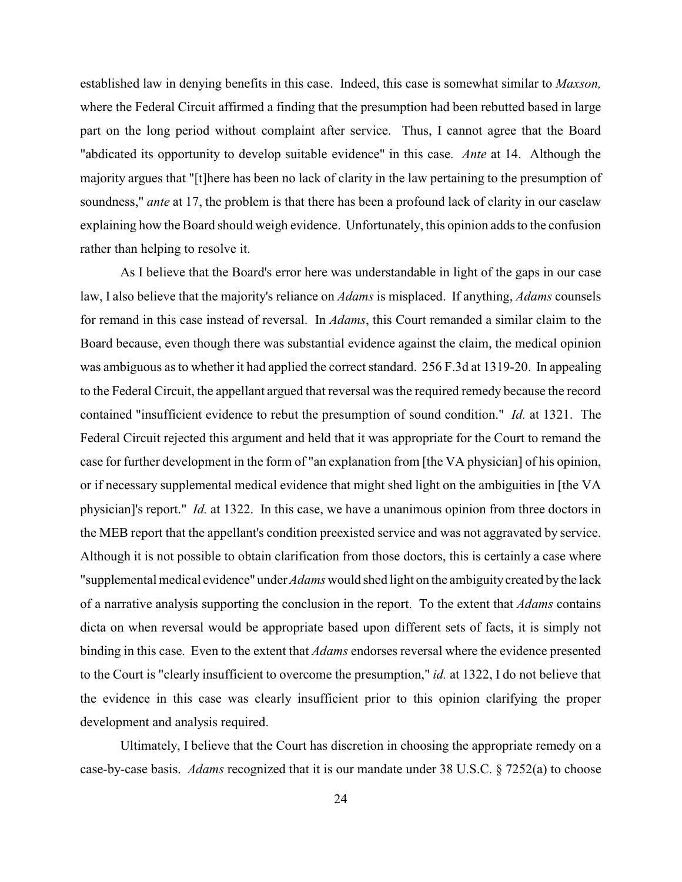established law in denying benefits in this case. Indeed, this case is somewhat similar to *Maxson,* where the Federal Circuit affirmed a finding that the presumption had been rebutted based in large part on the long period without complaint after service. Thus, I cannot agree that the Board "abdicated its opportunity to develop suitable evidence" in this case. *Ante* at 14. Although the majority argues that "[t]here has been no lack of clarity in the law pertaining to the presumption of soundness," *ante* at 17, the problem is that there has been a profound lack of clarity in our caselaw explaining how the Board should weigh evidence. Unfortunately, this opinion adds to the confusion rather than helping to resolve it.

As I believe that the Board's error here was understandable in light of the gaps in our case law, I also believe that the majority's reliance on *Adams* is misplaced. If anything, *Adams* counsels for remand in this case instead of reversal. In *Adams*, this Court remanded a similar claim to the Board because, even though there was substantial evidence against the claim, the medical opinion was ambiguous as to whether it had applied the correct standard. 256 F.3d at 1319-20. In appealing to the Federal Circuit, the appellant argued that reversal was the required remedy because the record contained "insufficient evidence to rebut the presumption of sound condition." *Id.* at 1321. The Federal Circuit rejected this argument and held that it was appropriate for the Court to remand the case for further development in the form of "an explanation from [the VA physician] of his opinion, or if necessary supplemental medical evidence that might shed light on the ambiguities in [the VA physician]'s report." *Id.* at 1322. In this case, we have a unanimous opinion from three doctors in the MEB report that the appellant's condition preexisted service and was not aggravated by service. Although it is not possible to obtain clarification from those doctors, this is certainly a case where "supplemental medical evidence" under *Adams* would shed light on the ambiguitycreated bythe lack of a narrative analysis supporting the conclusion in the report. To the extent that *Adams* contains dicta on when reversal would be appropriate based upon different sets of facts, it is simply not binding in this case. Even to the extent that *Adams* endorses reversal where the evidence presented to the Court is "clearly insufficient to overcome the presumption," *id.* at 1322, I do not believe that the evidence in this case was clearly insufficient prior to this opinion clarifying the proper development and analysis required.

Ultimately, I believe that the Court has discretion in choosing the appropriate remedy on a case-by-case basis. *Adams* recognized that it is our mandate under 38 U.S.C. § 7252(a) to choose